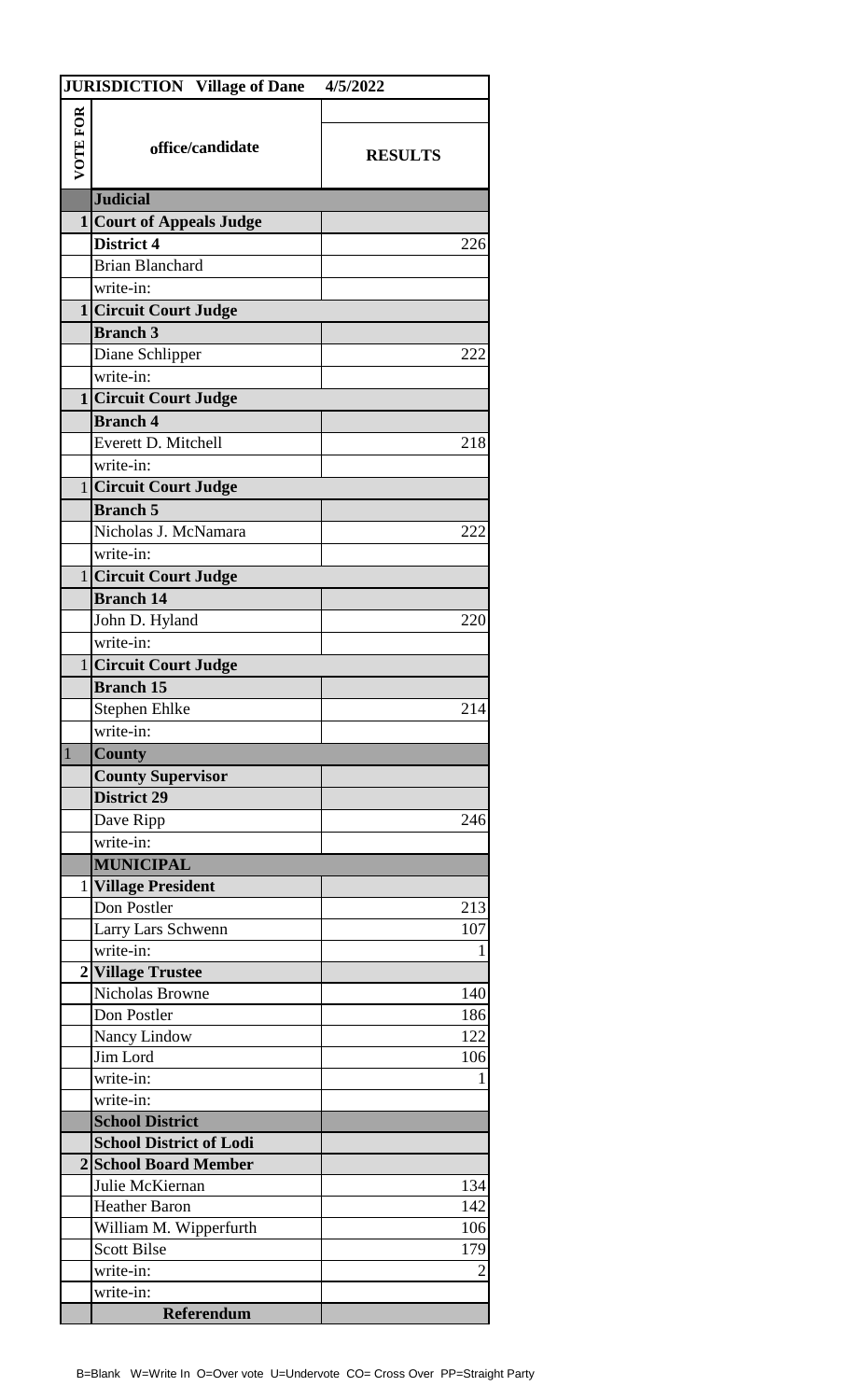|                 | <b>JURISDICTION Village of Dane</b> | 4/5/2022       |
|-----------------|-------------------------------------|----------------|
|                 |                                     |                |
| <b>VOTE FOR</b> |                                     |                |
|                 | office/candidate                    | <b>RESULTS</b> |
|                 |                                     |                |
|                 | <b>Judicial</b>                     |                |
|                 | <b>1 Court of Appeals Judge</b>     |                |
|                 | <b>District 4</b>                   | 226            |
|                 | <b>Brian Blanchard</b>              |                |
|                 | write-in:                           |                |
|                 | 1 Circuit Court Judge               |                |
|                 | <b>Branch 3</b>                     |                |
|                 | Diane Schlipper                     | 222            |
|                 | write-in:                           |                |
|                 | 1 Circuit Court Judge               |                |
|                 | <b>Branch 4</b>                     |                |
|                 | Everett D. Mitchell                 | 218            |
|                 | write-in:                           |                |
|                 | 1 Circuit Court Judge               |                |
|                 | <b>Branch 5</b>                     |                |
|                 | Nicholas J. McNamara                | 222            |
|                 | write-in:                           |                |
|                 | 1 Circuit Court Judge               |                |
|                 | <b>Branch 14</b>                    |                |
|                 | John D. Hyland                      | 220            |
|                 | write-in:                           |                |
|                 | 1 Circuit Court Judge               |                |
|                 | <b>Branch 15</b>                    |                |
|                 | Stephen Ehlke                       | 214            |
|                 | write-in:                           |                |
| $\mathbf{1}$    | <b>County</b>                       |                |
|                 | <b>County Supervisor</b>            |                |
|                 | <b>District 29</b>                  |                |
|                 | Dave Ripp                           | 246            |
|                 | write-in:                           |                |
|                 | <b>MUNICIPAL</b>                    |                |
|                 | 1 Village President                 |                |
|                 | Don Postler                         | 213            |
|                 | Larry Lars Schwenn                  | 107            |
|                 | write-in:                           | 1              |
|                 | 2 Village Trustee                   |                |
|                 | Nicholas Browne                     | 140            |
|                 | Don Postler                         | 186            |
|                 | Nancy Lindow                        | 122            |
|                 | Jim Lord                            | 106            |
|                 | write-in:                           |                |
|                 | write-in:                           |                |
|                 | <b>School District</b>              |                |
|                 | <b>School District of Lodi</b>      |                |
|                 | 2 School Board Member               |                |
|                 | Julie McKiernan                     | 134            |
|                 | <b>Heather Baron</b>                | 142            |
|                 | William M. Wipperfurth              | 106            |
|                 | <b>Scott Bilse</b>                  | 179            |
|                 | write-in:                           | $\overline{2}$ |
|                 | write-in:                           |                |
|                 | <b>Referendum</b>                   |                |